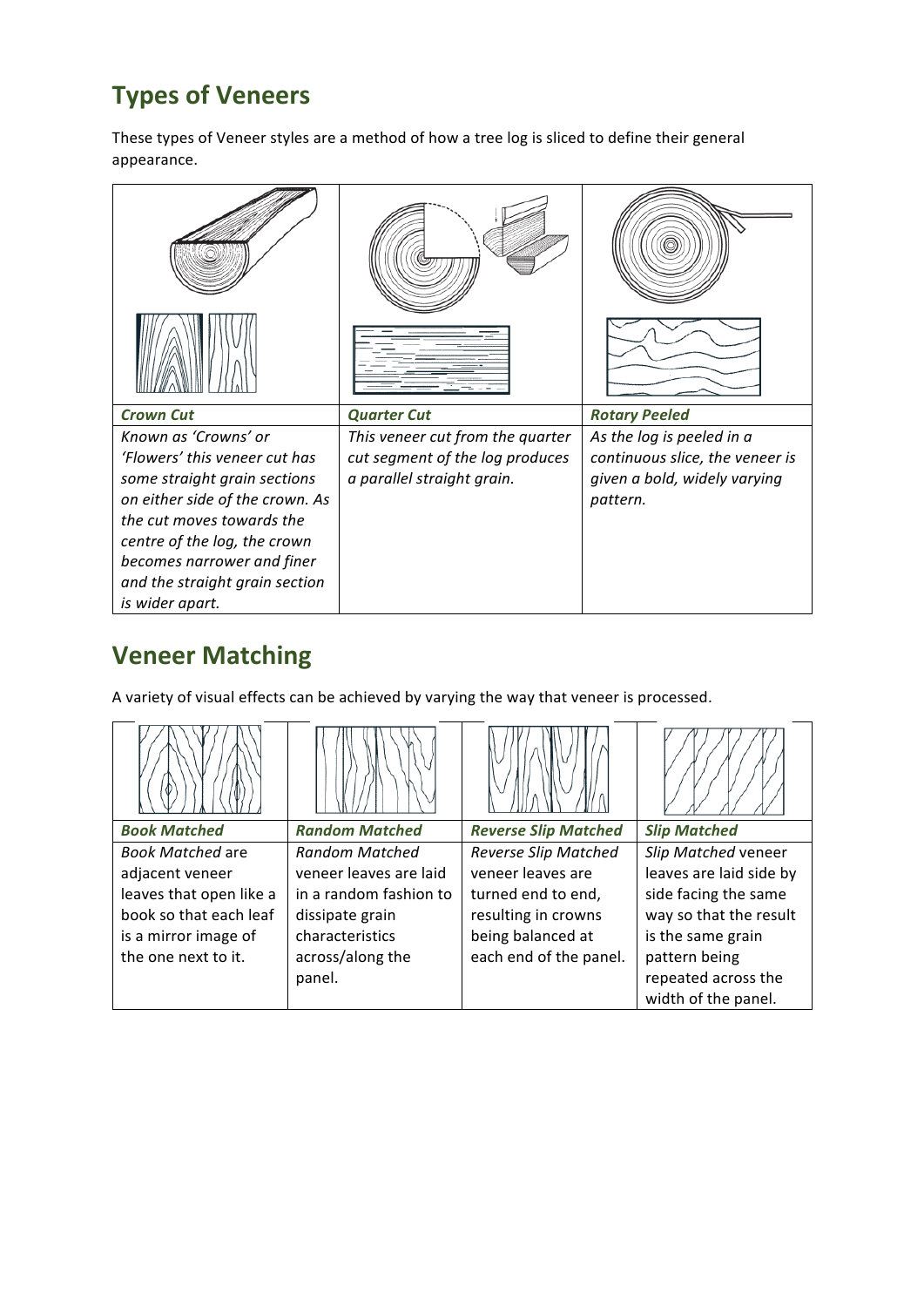## **Types of Veneers**

These types of Veneer styles are a method of how a tree log is sliced to define their general appearance. 

| <b>Crown Cut</b>                | <b>Quarter Cut</b>               | <b>Rotary Peeled</b>            |
|---------------------------------|----------------------------------|---------------------------------|
| Known as 'Crowns' or            | This veneer cut from the quarter | As the log is peeled in a       |
| 'Flowers' this veneer cut has   | cut segment of the log produces  | continuous slice, the veneer is |
| some straight grain sections    | a parallel straight grain.       | given a bold, widely varying    |
| on either side of the crown. As |                                  | pattern.                        |
| the cut moves towards the       |                                  |                                 |
| centre of the log, the crown    |                                  |                                 |
| becomes narrower and finer      |                                  |                                 |
| and the straight grain section  |                                  |                                 |

## **Veneer Matching**

A variety of visual effects can be achieved by varying the way that veneer is processed.

| <b>Book Matched</b>     | <b>Random Matched</b>  | <b>Reverse Slip Matched</b> | <b>Slip Matched</b>     |
|-------------------------|------------------------|-----------------------------|-------------------------|
| <b>Book Matched are</b> | <b>Random Matched</b>  | <b>Reverse Slip Matched</b> | Slip Matched veneer     |
| adjacent veneer         | veneer leaves are laid | veneer leaves are           | leaves are laid side by |
| leaves that open like a | in a random fashion to | turned end to end,          | side facing the same    |
| book so that each leaf  | dissipate grain        | resulting in crowns         | way so that the result  |
| is a mirror image of    | characteristics        | being balanced at           | is the same grain       |
| the one next to it.     | across/along the       | each end of the panel.      | pattern being           |
|                         | panel.                 |                             | repeated across the     |
|                         |                        |                             | width of the panel.     |